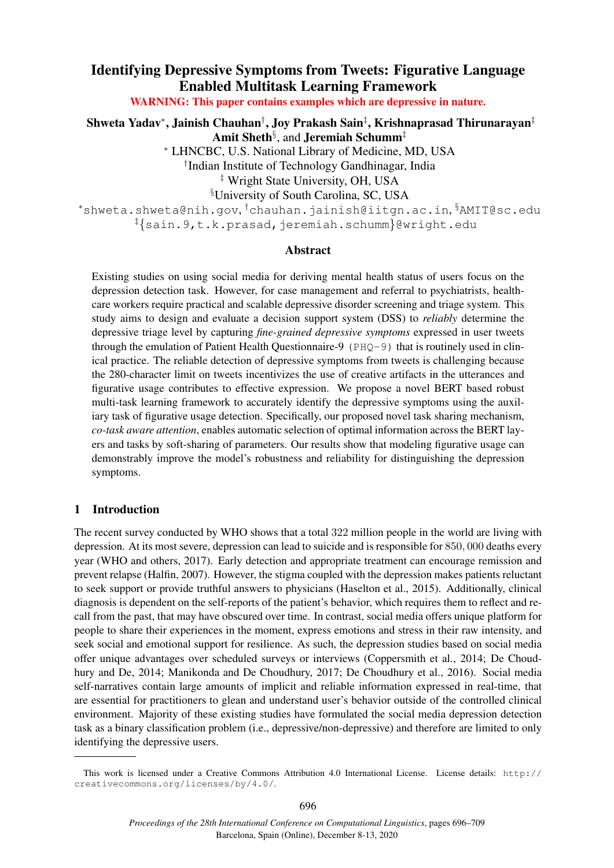# Identifying Depressive Symptoms from Tweets: Figurative Language Enabled Multitask Learning Framework

WARNING: This paper contains examples which are depressive in nature.

Shweta Yadav\*, Jainish Chauhan†, Joy Prakash Sain‡, Krishnaprasad Thirunarayan $^\ddag$ Amit Sheth<sup>§</sup>, and Jeremiah Schumm<sup>‡</sup> <sup>∗</sup> LHNCBC, U.S. National Library of Medicine, MD, USA † Indian Institute of Technology Gandhinagar, India

‡ Wright State University, OH, USA

§University of South Carolina, SC, USA

<sup>∗</sup>shweta.shweta@nih.gov, †chauhan.jainish@iitgn.ac.in, §AMIT@sc.edu ‡{sain.9,t.k.prasad,jeremiah.schumm}@wright.edu

#### Abstract

Existing studies on using social media for deriving mental health status of users focus on the depression detection task. However, for case management and referral to psychiatrists, healthcare workers require practical and scalable depressive disorder screening and triage system. This study aims to design and evaluate a decision support system (DSS) to *reliably* determine the depressive triage level by capturing *fine-grained depressive symptoms* expressed in user tweets through the emulation of Patient Health Questionnaire-9 (PHQ-9) that is routinely used in clinical practice. The reliable detection of depressive symptoms from tweets is challenging because the 280-character limit on tweets incentivizes the use of creative artifacts in the utterances and figurative usage contributes to effective expression. We propose a novel BERT based robust multi-task learning framework to accurately identify the depressive symptoms using the auxiliary task of figurative usage detection. Specifically, our proposed novel task sharing mechanism, *co-task aware attention*, enables automatic selection of optimal information across the BERT layers and tasks by soft-sharing of parameters. Our results show that modeling figurative usage can demonstrably improve the model's robustness and reliability for distinguishing the depression symptoms.

## 1 Introduction

The recent survey conducted by WHO shows that a total 322 million people in the world are living with depression. At its most severe, depression can lead to suicide and is responsible for 850, 000 deaths every year (WHO and others, 2017). Early detection and appropriate treatment can encourage remission and prevent relapse (Halfin, 2007). However, the stigma coupled with the depression makes patients reluctant to seek support or provide truthful answers to physicians (Haselton et al., 2015). Additionally, clinical diagnosis is dependent on the self-reports of the patient's behavior, which requires them to reflect and recall from the past, that may have obscured over time. In contrast, social media offers unique platform for people to share their experiences in the moment, express emotions and stress in their raw intensity, and seek social and emotional support for resilience. As such, the depression studies based on social media offer unique advantages over scheduled surveys or interviews (Coppersmith et al., 2014; De Choudhury and De, 2014; Manikonda and De Choudhury, 2017; De Choudhury et al., 2016). Social media self-narratives contain large amounts of implicit and reliable information expressed in real-time, that are essential for practitioners to glean and understand user's behavior outside of the controlled clinical environment. Majority of these existing studies have formulated the social media depression detection task as a binary classification problem (i.e., depressive/non-depressive) and therefore are limited to only identifying the depressive users.

This work is licensed under a Creative Commons Attribution 4.0 International License. License details: http:// creativecommons.org/licenses/by/4.0/.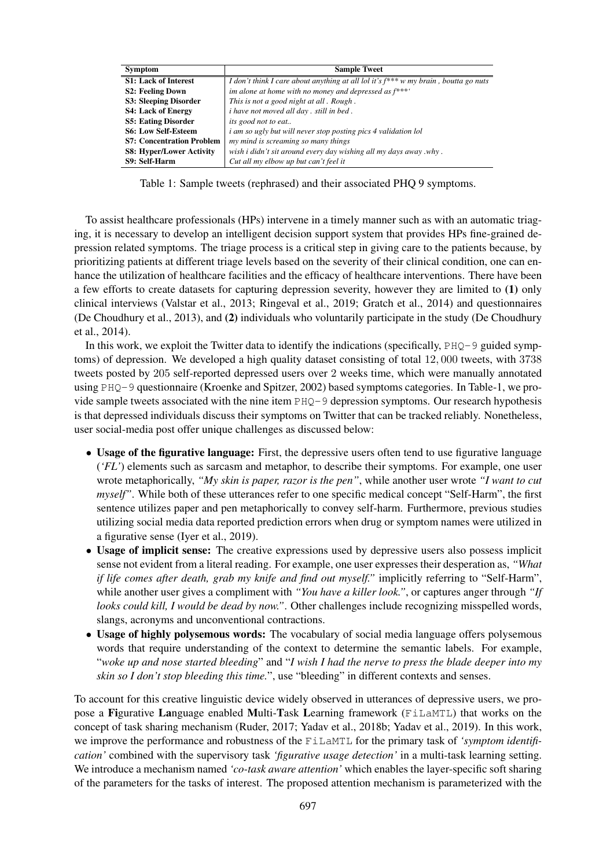| <b>Symptom</b>                   | <b>Sample Tweet</b>                                                                      |
|----------------------------------|------------------------------------------------------------------------------------------|
| <b>S1: Lack of Interest</b>      | I don't think I care about anything at all lol it's $f^{***}$ w my brain, boutta go nuts |
| <b>S2: Feeling Down</b>          | im alone at home with no money and depressed as $f^{***}$                                |
| S3: Sleeping Disorder            | This is not a good night at all. Rough.                                                  |
| <b>S4: Lack of Energy</b>        | <i>i</i> have not moved all day, still in bed.                                           |
| <b>S5: Eating Disorder</b>       | its good not to eat                                                                      |
| <b>S6: Low Self-Esteem</b>       | <i>i am so ugly but will never stop posting pics 4 validation lol</i>                    |
| <b>S7: Concentration Problem</b> | my mind is screaming so many things                                                      |
| <b>S8: Hyper/Lower Activity</b>  | wish i didn't sit around every day wishing all my days away .why.                        |
| S9: Self-Harm                    | Cut all my elbow up but can't feel it                                                    |

Table 1: Sample tweets (rephrased) and their associated PHQ 9 symptoms.

To assist healthcare professionals (HPs) intervene in a timely manner such as with an automatic triaging, it is necessary to develop an intelligent decision support system that provides HPs fine-grained depression related symptoms. The triage process is a critical step in giving care to the patients because, by prioritizing patients at different triage levels based on the severity of their clinical condition, one can enhance the utilization of healthcare facilities and the efficacy of healthcare interventions. There have been a few efforts to create datasets for capturing depression severity, however they are limited to (1) only clinical interviews (Valstar et al., 2013; Ringeval et al., 2019; Gratch et al., 2014) and questionnaires (De Choudhury et al., 2013), and (2) individuals who voluntarily participate in the study (De Choudhury et al., 2014).

In this work, we exploit the Twitter data to identify the indications (specifically,  $PHQ-9$  guided symptoms) of depression. We developed a high quality dataset consisting of total 12, 000 tweets, with 3738 tweets posted by 205 self-reported depressed users over 2 weeks time, which were manually annotated using PHQ-9 questionnaire (Kroenke and Spitzer, 2002) based symptoms categories. In Table-1, we provide sample tweets associated with the nine item PHQ-9 depression symptoms. Our research hypothesis is that depressed individuals discuss their symptoms on Twitter that can be tracked reliably. Nonetheless, user social-media post offer unique challenges as discussed below:

- Usage of the figurative language: First, the depressive users often tend to use figurative language (*'FL'*) elements such as sarcasm and metaphor, to describe their symptoms. For example, one user wrote metaphorically, *"My skin is paper, razor is the pen"*, while another user wrote *"I want to cut myself"*. While both of these utterances refer to one specific medical concept "Self-Harm", the first sentence utilizes paper and pen metaphorically to convey self-harm. Furthermore, previous studies utilizing social media data reported prediction errors when drug or symptom names were utilized in a figurative sense (Iyer et al., 2019).
- Usage of implicit sense: The creative expressions used by depressive users also possess implicit sense not evident from a literal reading. For example, one user expresses their desperation as, *"What if life comes after death, grab my knife and find out myself."* implicitly referring to "Self-Harm", while another user gives a compliment with *"You have a killer look."*, or captures anger through *"If looks could kill, I would be dead by now."*. Other challenges include recognizing misspelled words, slangs, acronyms and unconventional contractions.
- Usage of highly polysemous words: The vocabulary of social media language offers polysemous words that require understanding of the context to determine the semantic labels. For example, "*woke up and nose started bleeding*" and "*I wish I had the nerve to press the blade deeper into my skin so I don't stop bleeding this time.*", use "bleeding" in different contexts and senses.

To account for this creative linguistic device widely observed in utterances of depressive users, we propose a Figurative Language enabled Multi-Task Learning framework (FiLaMTL) that works on the concept of task sharing mechanism (Ruder, 2017; Yadav et al., 2018b; Yadav et al., 2019). In this work, we improve the performance and robustness of the FiLaMTL for the primary task of *'symptom identification'* combined with the supervisory task *'figurative usage detection'* in a multi-task learning setting. We introduce a mechanism named *'co-task aware attention'* which enables the layer-specific soft sharing of the parameters for the tasks of interest. The proposed attention mechanism is parameterized with the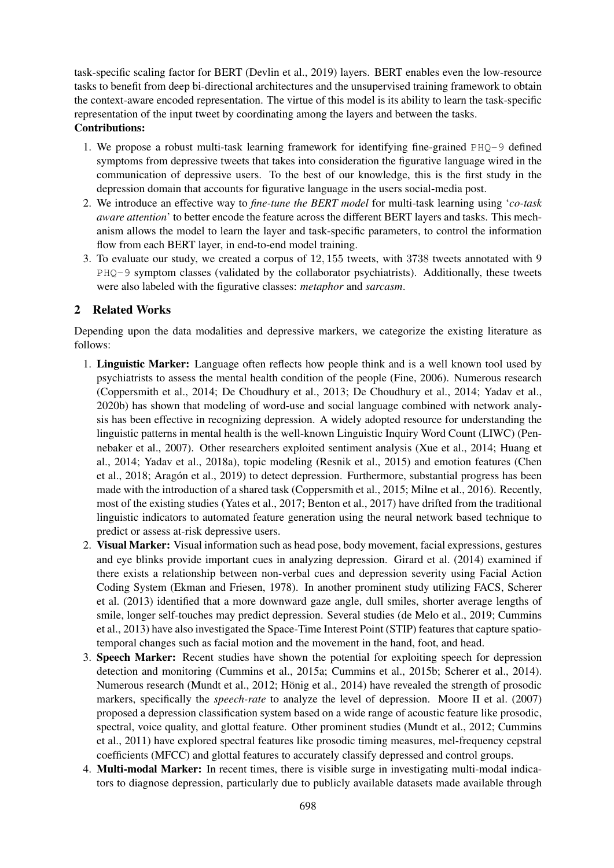task-specific scaling factor for BERT (Devlin et al., 2019) layers. BERT enables even the low-resource tasks to benefit from deep bi-directional architectures and the unsupervised training framework to obtain the context-aware encoded representation. The virtue of this model is its ability to learn the task-specific representation of the input tweet by coordinating among the layers and between the tasks. Contributions:

- 1. We propose a robust multi-task learning framework for identifying fine-grained PHQ-9 defined symptoms from depressive tweets that takes into consideration the figurative language wired in the communication of depressive users. To the best of our knowledge, this is the first study in the depression domain that accounts for figurative language in the users social-media post.
- 2. We introduce an effective way to *fine-tune the BERT model* for multi-task learning using '*co-task aware attention*' to better encode the feature across the different BERT layers and tasks. This mechanism allows the model to learn the layer and task-specific parameters, to control the information flow from each BERT layer, in end-to-end model training.
- 3. To evaluate our study, we created a corpus of 12, 155 tweets, with 3738 tweets annotated with 9 PHQ-9 symptom classes (validated by the collaborator psychiatrists). Additionally, these tweets were also labeled with the figurative classes: *metaphor* and *sarcasm*.

## 2 Related Works

Depending upon the data modalities and depressive markers, we categorize the existing literature as follows:

- 1. Linguistic Marker: Language often reflects how people think and is a well known tool used by psychiatrists to assess the mental health condition of the people (Fine, 2006). Numerous research (Coppersmith et al., 2014; De Choudhury et al., 2013; De Choudhury et al., 2014; Yadav et al., 2020b) has shown that modeling of word-use and social language combined with network analysis has been effective in recognizing depression. A widely adopted resource for understanding the linguistic patterns in mental health is the well-known Linguistic Inquiry Word Count (LIWC) (Pennebaker et al., 2007). Other researchers exploited sentiment analysis (Xue et al., 2014; Huang et al., 2014; Yadav et al., 2018a), topic modeling (Resnik et al., 2015) and emotion features (Chen et al., 2018; Aragón et al., 2019) to detect depression. Furthermore, substantial progress has been made with the introduction of a shared task (Coppersmith et al., 2015; Milne et al., 2016). Recently, most of the existing studies (Yates et al., 2017; Benton et al., 2017) have drifted from the traditional linguistic indicators to automated feature generation using the neural network based technique to predict or assess at-risk depressive users.
- 2. Visual Marker: Visual information such as head pose, body movement, facial expressions, gestures and eye blinks provide important cues in analyzing depression. Girard et al. (2014) examined if there exists a relationship between non-verbal cues and depression severity using Facial Action Coding System (Ekman and Friesen, 1978). In another prominent study utilizing FACS, Scherer et al. (2013) identified that a more downward gaze angle, dull smiles, shorter average lengths of smile, longer self-touches may predict depression. Several studies (de Melo et al., 2019; Cummins et al., 2013) have also investigated the Space-Time Interest Point (STIP) features that capture spatiotemporal changes such as facial motion and the movement in the hand, foot, and head.
- 3. Speech Marker: Recent studies have shown the potential for exploiting speech for depression detection and monitoring (Cummins et al., 2015a; Cummins et al., 2015b; Scherer et al., 2014). Numerous research (Mundt et al., 2012; Hönig et al., 2014) have revealed the strength of prosodic markers, specifically the *speech-rate* to analyze the level of depression. Moore II et al. (2007) proposed a depression classification system based on a wide range of acoustic feature like prosodic, spectral, voice quality, and glottal feature. Other prominent studies (Mundt et al., 2012; Cummins et al., 2011) have explored spectral features like prosodic timing measures, mel-frequency cepstral coefficients (MFCC) and glottal features to accurately classify depressed and control groups.
- 4. Multi-modal Marker: In recent times, there is visible surge in investigating multi-modal indicators to diagnose depression, particularly due to publicly available datasets made available through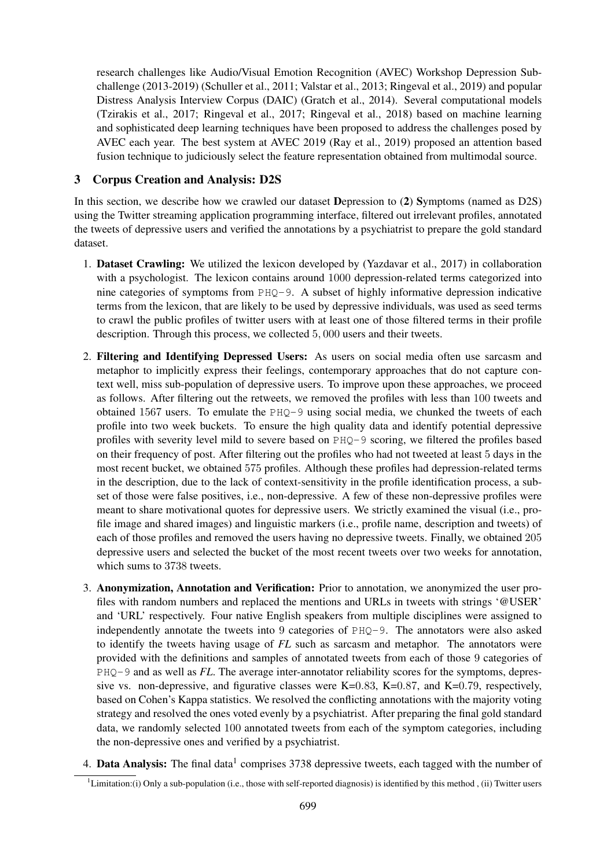research challenges like Audio/Visual Emotion Recognition (AVEC) Workshop Depression Subchallenge (2013-2019) (Schuller et al., 2011; Valstar et al., 2013; Ringeval et al., 2019) and popular Distress Analysis Interview Corpus (DAIC) (Gratch et al., 2014). Several computational models (Tzirakis et al., 2017; Ringeval et al., 2017; Ringeval et al., 2018) based on machine learning and sophisticated deep learning techniques have been proposed to address the challenges posed by AVEC each year. The best system at AVEC 2019 (Ray et al., 2019) proposed an attention based fusion technique to judiciously select the feature representation obtained from multimodal source.

## 3 Corpus Creation and Analysis: D2S

In this section, we describe how we crawled our dataset Depression to (2) Symptoms (named as D2S) using the Twitter streaming application programming interface, filtered out irrelevant profiles, annotated the tweets of depressive users and verified the annotations by a psychiatrist to prepare the gold standard dataset.

- 1. Dataset Crawling: We utilized the lexicon developed by (Yazdavar et al., 2017) in collaboration with a psychologist. The lexicon contains around 1000 depression-related terms categorized into nine categories of symptoms from PHQ-9. A subset of highly informative depression indicative terms from the lexicon, that are likely to be used by depressive individuals, was used as seed terms to crawl the public profiles of twitter users with at least one of those filtered terms in their profile description. Through this process, we collected 5, 000 users and their tweets.
- 2. Filtering and Identifying Depressed Users: As users on social media often use sarcasm and metaphor to implicitly express their feelings, contemporary approaches that do not capture context well, miss sub-population of depressive users. To improve upon these approaches, we proceed as follows. After filtering out the retweets, we removed the profiles with less than 100 tweets and obtained 1567 users. To emulate the PHQ-9 using social media, we chunked the tweets of each profile into two week buckets. To ensure the high quality data and identify potential depressive profiles with severity level mild to severe based on PHQ-9 scoring, we filtered the profiles based on their frequency of post. After filtering out the profiles who had not tweeted at least 5 days in the most recent bucket, we obtained 575 profiles. Although these profiles had depression-related terms in the description, due to the lack of context-sensitivity in the profile identification process, a subset of those were false positives, i.e., non-depressive. A few of these non-depressive profiles were meant to share motivational quotes for depressive users. We strictly examined the visual (i.e., profile image and shared images) and linguistic markers (i.e., profile name, description and tweets) of each of those profiles and removed the users having no depressive tweets. Finally, we obtained 205 depressive users and selected the bucket of the most recent tweets over two weeks for annotation, which sums to 3738 tweets.
- 3. Anonymization, Annotation and Verification: Prior to annotation, we anonymized the user profiles with random numbers and replaced the mentions and URLs in tweets with strings '@USER' and 'URL' respectively. Four native English speakers from multiple disciplines were assigned to independently annotate the tweets into 9 categories of PHQ-9. The annotators were also asked to identify the tweets having usage of *FL* such as sarcasm and metaphor. The annotators were provided with the definitions and samples of annotated tweets from each of those 9 categories of PHQ-9 and as well as *FL*. The average inter-annotator reliability scores for the symptoms, depressive vs. non-depressive, and figurative classes were K=0.83, K=0.87, and K=0.79, respectively, based on Cohen's Kappa statistics. We resolved the conflicting annotations with the majority voting strategy and resolved the ones voted evenly by a psychiatrist. After preparing the final gold standard data, we randomly selected 100 annotated tweets from each of the symptom categories, including the non-depressive ones and verified by a psychiatrist.
- 4. Data Analysis: The final data<sup>1</sup> comprises 3738 depressive tweets, each tagged with the number of

 ${}^{1}$ Limitation:(i) Only a sub-population (i.e., those with self-reported diagnosis) is identified by this method , (ii) Twitter users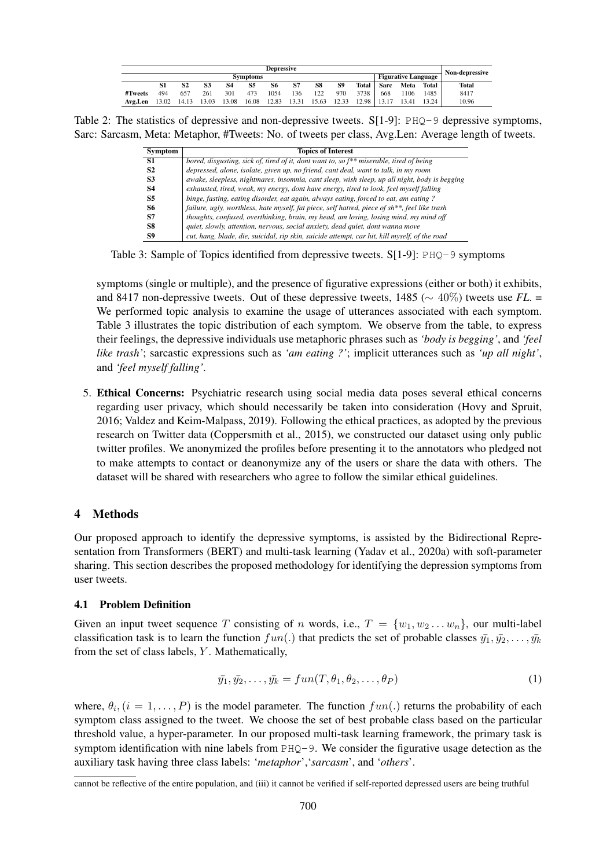| Depressive      |       |       |       |       |       |                            |       |       | Non-depressive |       |             |       |       |       |
|-----------------|-------|-------|-------|-------|-------|----------------------------|-------|-------|----------------|-------|-------------|-------|-------|-------|
| <b>Symptoms</b> |       |       |       |       |       | <b>Figurative Language</b> |       |       |                |       |             |       |       |       |
|                 | S1    |       | S3    | 84    | 85    | 86                         | S7    | S8    | S9             | Total | <b>Sarc</b> | Meta  | Total | Total |
| #Tweets         | 494   | 657   | 261   | 301   | 473   | 1054                       | 136   | 122   | 970            | 3738  | 668         | 1106  | 1485  | 8417  |
| Avg.Len         | 13.02 | 14.13 | 13.03 | 13.08 | 16.08 | 12.83                      | 13.31 | 15.63 | 12.33          | 12.98 |             | 13.41 | 13.24 | 10.96 |

Table 2: The statistics of depressive and non-depressive tweets. S[1-9]: PHQ-9 depressive symptoms, Sarc: Sarcasm, Meta: Metaphor, #Tweets: No. of tweets per class, Avg.Len: Average length of tweets.

| Symptom        | <b>Topics of Interest</b>                                                                     |
|----------------|-----------------------------------------------------------------------------------------------|
| S1             | bored, disgusting, sick of, tired of it, dont want to, so $f^{**}$ miserable, tired of being  |
| S <sub>2</sub> | depressed, alone, isolate, given up, no friend, cant deal, want to talk, in my room           |
| S <sub>3</sub> | awake, sleepless, nightmares, insomnia, cant sleep, wish sleep, up all night, body is begging |
| <b>S4</b>      | exhausted, tired, weak, my energy, dont have energy, tired to look, feel myself falling       |
| S5             | binge, fasting, eating disorder, eat again, always eating, forced to eat, am eating ?         |
| S6             | failure, ugly, worthless, hate myself, fat piece, self hatred, piece of sh**, feel like trash |
| S7             | thoughts, confused, overthinking, brain, my head, am losing, losing mind, my mind off         |
| S8             | quiet, slowly, attention, nervous, social anxiety, dead quiet, dont wanna move                |
| S9             | cut, hang, blade, die, suicidal, rip skin, suicide attempt, car hit, kill myself, of the road |

Table 3: Sample of Topics identified from depressive tweets.  $S[1-9]$ :  $PHQ-9$  symptoms

symptoms (single or multiple), and the presence of figurative expressions (either or both) it exhibits, and 8417 non-depressive tweets. Out of these depressive tweets, 1485 (∼ 40%) tweets use *FL*. = We performed topic analysis to examine the usage of utterances associated with each symptom. Table 3 illustrates the topic distribution of each symptom. We observe from the table, to express their feelings, the depressive individuals use metaphoric phrases such as *'body is begging'*, and *'feel like trash'*; sarcastic expressions such as *'am eating ?'*; implicit utterances such as *'up all night'*, and *'feel myself falling'*.

5. Ethical Concerns: Psychiatric research using social media data poses several ethical concerns regarding user privacy, which should necessarily be taken into consideration (Hovy and Spruit, 2016; Valdez and Keim-Malpass, 2019). Following the ethical practices, as adopted by the previous research on Twitter data (Coppersmith et al., 2015), we constructed our dataset using only public twitter profiles. We anonymized the profiles before presenting it to the annotators who pledged not to make attempts to contact or deanonymize any of the users or share the data with others. The dataset will be shared with researchers who agree to follow the similar ethical guidelines.

### 4 Methods

Our proposed approach to identify the depressive symptoms, is assisted by the Bidirectional Representation from Transformers (BERT) and multi-task learning (Yadav et al., 2020a) with soft-parameter sharing. This section describes the proposed methodology for identifying the depression symptoms from user tweets.

#### 4.1 Problem Definition

Given an input tweet sequence T consisting of n words, i.e.,  $T = \{w_1, w_2 \dots w_n\}$ , our multi-label classification task is to learn the function  $fun(.)$  that predicts the set of probable classes  $\bar{y}_1, \bar{y}_2, \ldots, \bar{y}_k$ from the set of class labels, Y . Mathematically,

$$
\bar{y_1}, \bar{y_2}, \dots, \bar{y_k} = \text{fun}(T, \theta_1, \theta_2, \dots, \theta_P) \tag{1}
$$

where,  $\theta_i$ ,  $(i = 1, \ldots, P)$  is the model parameter. The function  $fun(.)$  returns the probability of each symptom class assigned to the tweet. We choose the set of best probable class based on the particular threshold value, a hyper-parameter. In our proposed multi-task learning framework, the primary task is symptom identification with nine labels from  $PHQ-9$ . We consider the figurative usage detection as the auxiliary task having three class labels: '*metaphor*','*sarcasm*', and '*others*'.

cannot be reflective of the entire population, and (iii) it cannot be verified if self-reported depressed users are being truthful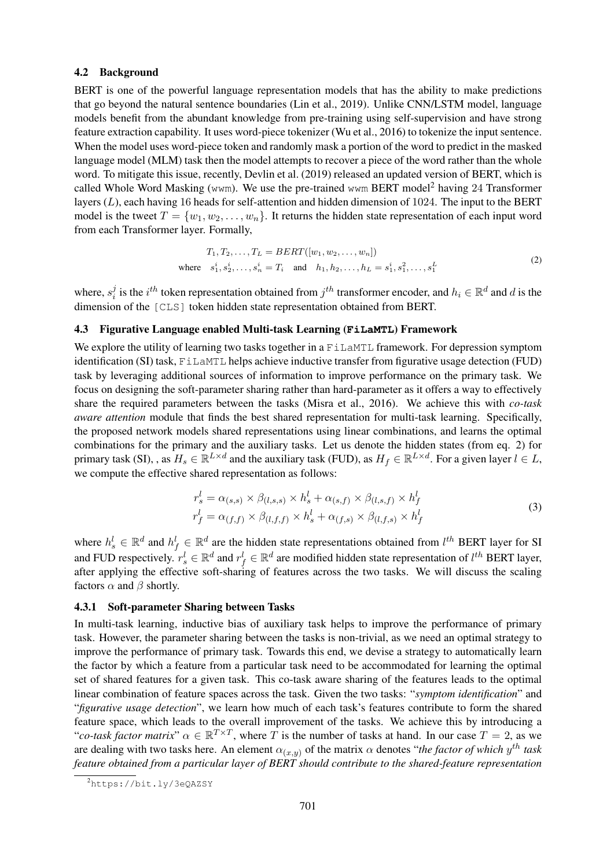#### 4.2 Background

BERT is one of the powerful language representation models that has the ability to make predictions that go beyond the natural sentence boundaries (Lin et al., 2019). Unlike CNN/LSTM model, language models benefit from the abundant knowledge from pre-training using self-supervision and have strong feature extraction capability. It uses word-piece tokenizer (Wu et al., 2016) to tokenize the input sentence. When the model uses word-piece token and randomly mask a portion of the word to predict in the masked language model (MLM) task then the model attempts to recover a piece of the word rather than the whole word. To mitigate this issue, recently, Devlin et al. (2019) released an updated version of BERT, which is called Whole Word Masking (wwm). We use the pre-trained wwm BERT model<sup>2</sup> having 24 Transformer layers  $(L)$ , each having 16 heads for self-attention and hidden dimension of 1024. The input to the BERT model is the tweet  $T = \{w_1, w_2, \ldots, w_n\}$ . It returns the hidden state representation of each input word from each Transformer layer. Formally,

$$
T_1, T_2, \dots, T_L = BERT([w_1, w_2, \dots, w_n])
$$
  
where  $s_1^i, s_2^i, \dots, s_n^i = T_i$  and  $h_1, h_2, \dots, h_L = s_1^i, s_1^2, \dots, s_1^L$  (2)

where,  $s_i^j$  $i$  is the  $i^{th}$  token representation obtained from  $j^{th}$  transformer encoder, and  $h_i \in \mathbb{R}^d$  and  $d$  is the dimension of the [CLS] token hidden state representation obtained from BERT.

#### 4.3 Figurative Language enabled Multi-task Learning (**FiLaMTL**) Framework

We explore the utility of learning two tasks together in a FillaMTL framework. For depression symptom identification (SI) task, FiLaMTL helps achieve inductive transfer from figurative usage detection (FUD) task by leveraging additional sources of information to improve performance on the primary task. We focus on designing the soft-parameter sharing rather than hard-parameter as it offers a way to effectively share the required parameters between the tasks (Misra et al., 2016). We achieve this with *co-task aware attention* module that finds the best shared representation for multi-task learning. Specifically, the proposed network models shared representations using linear combinations, and learns the optimal combinations for the primary and the auxiliary tasks. Let us denote the hidden states (from eq. 2) for primary task (SI), , as  $H_s \in \mathbb{R}^{L \times d}$  and the auxiliary task (FUD), as  $H_f \in \mathbb{R}^{L \times d}$ . For a given layer  $l \in L$ , we compute the effective shared representation as follows:

$$
r_s^l = \alpha_{(s,s)} \times \beta_{(l,s,s)} \times h_s^l + \alpha_{(s,f)} \times \beta_{(l,s,f)} \times h_f^l
$$
  
\n
$$
r_f^l = \alpha_{(f,f)} \times \beta_{(l,f,f)} \times h_s^l + \alpha_{(f,s)} \times \beta_{(l,f,s)} \times h_f^l
$$
\n(3)

where  $h_s^l \in \mathbb{R}^d$  and  $h_f^l \in \mathbb{R}^d$  are the hidden state representations obtained from  $l^{th}$  BERT layer for SI and FUD respectively.  $r_s^l \in \mathbb{R}^d$  and  $r_f^l \in \mathbb{R}^d$  are modified hidden state representation of  $l^{th}$  BERT layer, after applying the effective soft-sharing of features across the two tasks. We will discuss the scaling factors  $\alpha$  and  $\beta$  shortly.

#### 4.3.1 Soft-parameter Sharing between Tasks

In multi-task learning, inductive bias of auxiliary task helps to improve the performance of primary task. However, the parameter sharing between the tasks is non-trivial, as we need an optimal strategy to improve the performance of primary task. Towards this end, we devise a strategy to automatically learn the factor by which a feature from a particular task need to be accommodated for learning the optimal set of shared features for a given task. This co-task aware sharing of the features leads to the optimal linear combination of feature spaces across the task. Given the two tasks: "*symptom identification*" and "*figurative usage detection*", we learn how much of each task's features contribute to form the shared feature space, which leads to the overall improvement of the tasks. We achieve this by introducing a "*co-task factor matrix*"  $\alpha \in \mathbb{R}^{T \times T}$ , where T is the number of tasks at hand. In our case  $T = 2$ , as we are dealing with two tasks here. An element  $\alpha_{(x,y)}$  of the matrix  $\alpha$  denotes "*the factor of which*  $y^{th}$  task *feature obtained from a particular layer of BERT should contribute to the shared-feature representation*

<sup>2</sup>https://bit.ly/3eQAZSY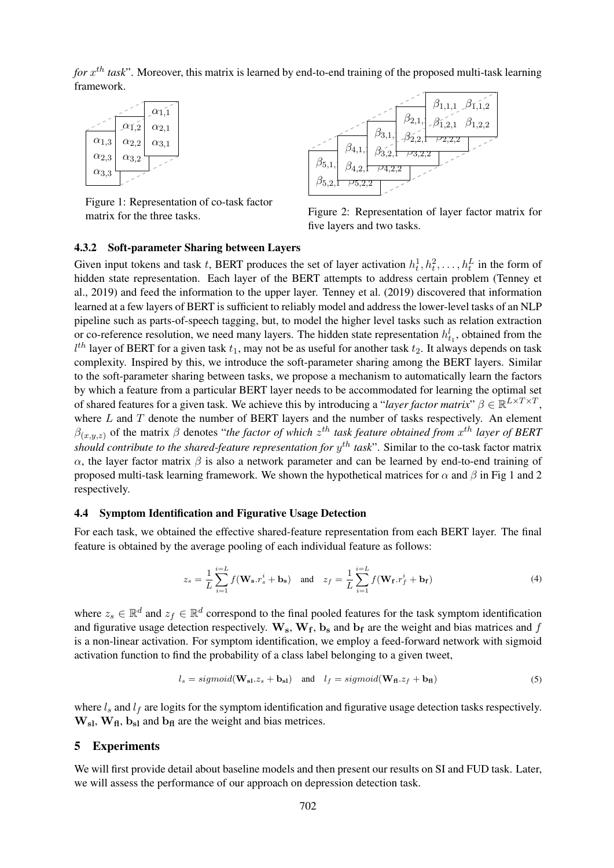for  $x^{th}$  task". Moreover, this matrix is learned by end-to-end training of the proposed multi-task learning framework.



Figure 1: Representation of co-task factor matrix for the three tasks.



Figure 2: Representation of layer factor matrix for five layers and two tasks.

#### 4.3.2 Soft-parameter Sharing between Layers

Given input tokens and task t, BERT produces the set of layer activation  $h_t^1, h_t^2, \ldots, h_t^L$  in the form of hidden state representation. Each layer of the BERT attempts to address certain problem (Tenney et al., 2019) and feed the information to the upper layer. Tenney et al. (2019) discovered that information learned at a few layers of BERT is sufficient to reliably model and address the lower-level tasks of an NLP pipeline such as parts-of-speech tagging, but, to model the higher level tasks such as relation extraction or co-reference resolution, we need many layers. The hidden state representation  $h_{t_1}^l$ , obtained from the  $l^{th}$  layer of BERT for a given task  $t_1$ , may not be as useful for another task  $t_2$ . It always depends on task complexity. Inspired by this, we introduce the soft-parameter sharing among the BERT layers. Similar to the soft-parameter sharing between tasks, we propose a mechanism to automatically learn the factors by which a feature from a particular BERT layer needs to be accommodated for learning the optimal set of shared features for a given task. We achieve this by introducing a "*layer factor matrix*"  $\beta \in \mathbb{R}^{L \times T \times T}$ , where  $L$  and  $T$  denote the number of BERT layers and the number of tasks respectively. An element  $\beta_{(x,y,z)}$  of the matrix  $\beta$  denotes "*the factor of which*  $z^{th}$  *task feature obtained from*  $x^{th}$  *layer of BERT* should contribute to the shared-feature representation for  $y^{th}$  task". Similar to the co-task factor matrix α, the layer factor matrix  $β$  is also a network parameter and can be learned by end-to-end training of proposed multi-task learning framework. We shown the hypothetical matrices for  $\alpha$  and  $\beta$  in Fig 1 and 2 respectively.

#### 4.4 Symptom Identification and Figurative Usage Detection

For each task, we obtained the effective shared-feature representation from each BERT layer. The final feature is obtained by the average pooling of each individual feature as follows:

$$
z_s = \frac{1}{L} \sum_{i=1}^{i=L} f(\mathbf{W_s} \cdot r_s^i + \mathbf{b_s}) \quad \text{and} \quad z_f = \frac{1}{L} \sum_{i=1}^{i=L} f(\mathbf{W_f} \cdot r_f^i + \mathbf{b_f}) \tag{4}
$$

where  $z_s \in \mathbb{R}^d$  and  $z_f \in \mathbb{R}^d$  correspond to the final pooled features for the task symptom identification and figurative usage detection respectively.  $W_s$ ,  $W_f$ ,  $b_s$  and  $b_f$  are the weight and bias matrices and f is a non-linear activation. For symptom identification, we employ a feed-forward network with sigmoid activation function to find the probability of a class label belonging to a given tweet,

$$
l_s = sigmoid(\mathbf{W_{sl}}.z_s + \mathbf{b_{sl}}) \quad \text{and} \quad l_f = sigmoid(\mathbf{W_{fl}}.z_f + \mathbf{b_{fl}}) \tag{5}
$$

where  $l_s$  and  $l_f$  are logits for the symptom identification and figurative usage detection tasks respectively.  $W_{\rm sl}$ ,  $W_{\rm fl}$ ,  $b_{\rm sl}$  and  $b_{\rm fl}$  are the weight and bias metrices.

#### 5 Experiments

We will first provide detail about baseline models and then present our results on SI and FUD task. Later, we will assess the performance of our approach on depression detection task.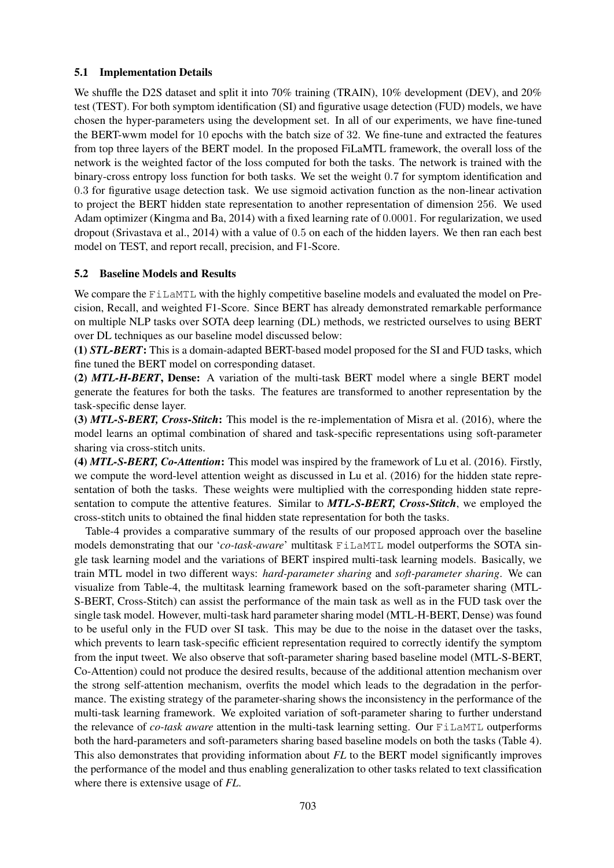### 5.1 Implementation Details

We shuffle the D2S dataset and split it into 70% training (TRAIN), 10% development (DEV), and 20% test (TEST). For both symptom identification (SI) and figurative usage detection (FUD) models, we have chosen the hyper-parameters using the development set. In all of our experiments, we have fine-tuned the BERT-wwm model for 10 epochs with the batch size of 32. We fine-tune and extracted the features from top three layers of the BERT model. In the proposed FiLaMTL framework, the overall loss of the network is the weighted factor of the loss computed for both the tasks. The network is trained with the binary-cross entropy loss function for both tasks. We set the weight 0.7 for symptom identification and 0.3 for figurative usage detection task. We use sigmoid activation function as the non-linear activation to project the BERT hidden state representation to another representation of dimension 256. We used Adam optimizer (Kingma and Ba, 2014) with a fixed learning rate of 0.0001. For regularization, we used dropout (Srivastava et al., 2014) with a value of 0.5 on each of the hidden layers. We then ran each best model on TEST, and report recall, precision, and F1-Score.

### 5.2 Baseline Models and Results

We compare the FiLaMTL with the highly competitive baseline models and evaluated the model on Precision, Recall, and weighted F1-Score. Since BERT has already demonstrated remarkable performance on multiple NLP tasks over SOTA deep learning (DL) methods, we restricted ourselves to using BERT over DL techniques as our baseline model discussed below:

(1) *STL-BERT*: This is a domain-adapted BERT-based model proposed for the SI and FUD tasks, which fine tuned the BERT model on corresponding dataset.

(2) *MTL-H-BERT*, Dense: A variation of the multi-task BERT model where a single BERT model generate the features for both the tasks. The features are transformed to another representation by the task-specific dense layer.

(3) *MTL-S-BERT, Cross-Stitch*: This model is the re-implementation of Misra et al. (2016), where the model learns an optimal combination of shared and task-specific representations using soft-parameter sharing via cross-stitch units.

(4) *MTL-S-BERT, Co-Attention*: This model was inspired by the framework of Lu et al. (2016). Firstly, we compute the word-level attention weight as discussed in Lu et al. (2016) for the hidden state representation of both the tasks. These weights were multiplied with the corresponding hidden state representation to compute the attentive features. Similar to *MTL-S-BERT, Cross-Stitch*, we employed the cross-stitch units to obtained the final hidden state representation for both the tasks.

Table-4 provides a comparative summary of the results of our proposed approach over the baseline models demonstrating that our '*co-task-aware*' multitask FiLaMTL model outperforms the SOTA single task learning model and the variations of BERT inspired multi-task learning models. Basically, we train MTL model in two different ways: *hard-parameter sharing* and *soft-parameter sharing*. We can visualize from Table-4, the multitask learning framework based on the soft-parameter sharing (MTL-S-BERT, Cross-Stitch) can assist the performance of the main task as well as in the FUD task over the single task model. However, multi-task hard parameter sharing model (MTL-H-BERT, Dense) was found to be useful only in the FUD over SI task. This may be due to the noise in the dataset over the tasks, which prevents to learn task-specific efficient representation required to correctly identify the symptom from the input tweet. We also observe that soft-parameter sharing based baseline model (MTL-S-BERT, Co-Attention) could not produce the desired results, because of the additional attention mechanism over the strong self-attention mechanism, overfits the model which leads to the degradation in the performance. The existing strategy of the parameter-sharing shows the inconsistency in the performance of the multi-task learning framework. We exploited variation of soft-parameter sharing to further understand the relevance of *co-task aware* attention in the multi-task learning setting. Our FiLaMTL outperforms both the hard-parameters and soft-parameters sharing based baseline models on both the tasks (Table 4). This also demonstrates that providing information about *FL* to the BERT model significantly improves the performance of the model and thus enabling generalization to other tasks related to text classification where there is extensive usage of *FL*.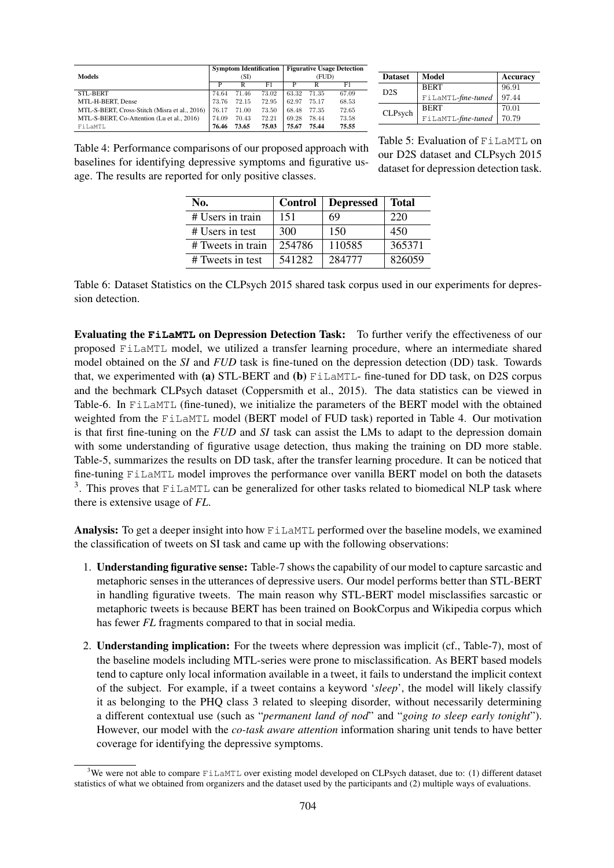| <b>Models</b>                                 |       |       | <b>Symptom Identification</b> | <b>Figurative Usage Detection</b> |       |       |  |
|-----------------------------------------------|-------|-------|-------------------------------|-----------------------------------|-------|-------|--|
|                                               |       | (SI)  |                               | (FUD)                             |       |       |  |
|                                               | P     | R     | F1                            | P                                 | R     | F1    |  |
| <b>STL-BERT</b>                               | 74.64 | 71.46 | 73.02                         | 63.32                             | 71.35 | 67.09 |  |
| MTL-H-BERT, Dense                             | 73.76 | 72.15 | 72.95                         | 62.97                             | 75.17 | 68.53 |  |
| MTL-S-BERT, Cross-Stitch (Misra et al., 2016) | 76.17 | 71.00 | 73.50                         | 68.48                             | 77.35 | 72.65 |  |
| MTL-S-BERT, Co-Attention (Lu et al., 2016)    | 74.09 | 70.43 | 72.21                         | 69.28                             | 78.44 | 73.58 |  |
| FiLaMTL                                       | 76.46 | 73.65 | 75.03                         | 75.67                             | 75.44 | 75.55 |  |

| <b>Dataset</b> | Model              | Accuracy |
|----------------|--------------------|----------|
| D2S            | <b>BERT</b>        | 96.91    |
|                | FiLaMTL-fine-tuned | 97.44    |
| CLPsych        | <b>BERT</b>        | 70.01    |
|                | FiLaMTL-fine-tuned | 70.79    |

Table 4: Performance comparisons of our proposed approach with baselines for identifying depressive symptoms and figurative usage. The results are reported for only positive classes.

Table 5: Evaluation of FiLaMTL on our D2S dataset and CLPsych 2015 dataset for depression detection task.

| No.               | <b>Control</b> | <b>Depressed</b> | <b>Total</b> |
|-------------------|----------------|------------------|--------------|
| # Users in train  | 151            | 69               | 220          |
| # Users in test   | 300            | 150              | 450          |
| # Tweets in train | 254786         | 110585           | 365371       |
| # Tweets in test  | 541282         | 284777           | 826059       |

Table 6: Dataset Statistics on the CLPsych 2015 shared task corpus used in our experiments for depression detection.

Evaluating the **FiLaMTL** on Depression Detection Task: To further verify the effectiveness of our proposed FiLaMTL model, we utilized a transfer learning procedure, where an intermediate shared model obtained on the *SI* and *FUD* task is fine-tuned on the depression detection (DD) task. Towards that, we experimented with (a) STL-BERT and (b)  $F_{\text{L} \text{A} \text{M} \text{L}}$ -fine-tuned for DD task, on D2S corpus and the bechmark CLPsych dataset (Coppersmith et al., 2015). The data statistics can be viewed in Table-6. In FiLaMTL (fine-tuned), we initialize the parameters of the BERT model with the obtained weighted from the FiLaMTL model (BERT model of FUD task) reported in Table 4. Our motivation is that first fine-tuning on the *FUD* and *SI* task can assist the LMs to adapt to the depression domain with some understanding of figurative usage detection, thus making the training on DD more stable. Table-5, summarizes the results on DD task, after the transfer learning procedure. It can be noticed that fine-tuning FiLaMTL model improves the performance over vanilla BERT model on both the datasets <sup>3</sup>. This proves that FiLaMTL can be generalized for other tasks related to biomedical NLP task where there is extensive usage of *FL*.

Analysis: To get a deeper insight into how FiLaMTL performed over the baseline models, we examined the classification of tweets on SI task and came up with the following observations:

- 1. Understanding figurative sense: Table-7 shows the capability of our model to capture sarcastic and metaphoric senses in the utterances of depressive users. Our model performs better than STL-BERT in handling figurative tweets. The main reason why STL-BERT model misclassifies sarcastic or metaphoric tweets is because BERT has been trained on BookCorpus and Wikipedia corpus which has fewer *FL* fragments compared to that in social media.
- 2. Understanding implication: For the tweets where depression was implicit (cf., Table-7), most of the baseline models including MTL-series were prone to misclassification. As BERT based models tend to capture only local information available in a tweet, it fails to understand the implicit context of the subject. For example, if a tweet contains a keyword '*sleep*', the model will likely classify it as belonging to the PHQ class 3 related to sleeping disorder, without necessarily determining a different contextual use (such as "*permanent land of nod*" and "*going to sleep early tonight*"). However, our model with the *co-task aware attention* information sharing unit tends to have better coverage for identifying the depressive symptoms.

<sup>&</sup>lt;sup>3</sup>We were not able to compare FiLaMTL over existing model developed on CLPsych dataset, due to: (1) different dataset statistics of what we obtained from organizers and the dataset used by the participants and (2) multiple ways of evaluations.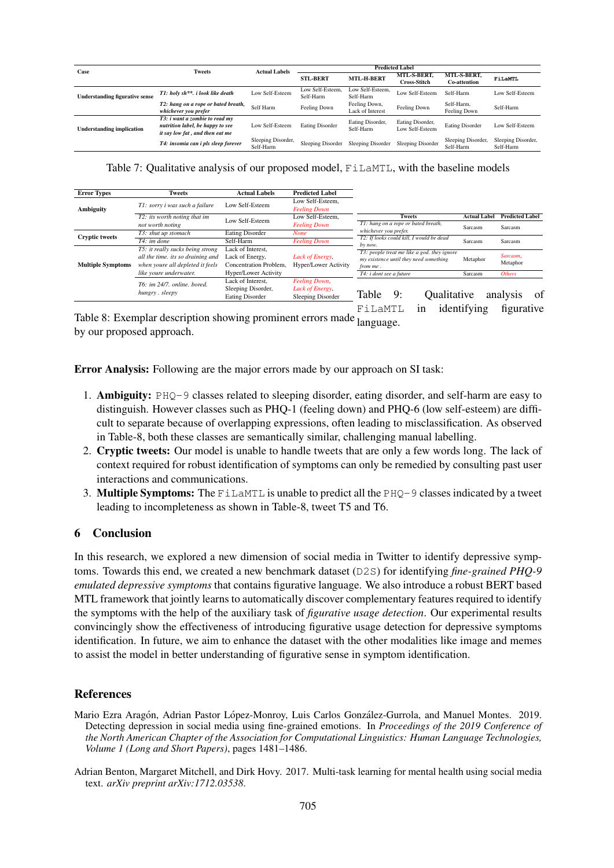| Case                                  | <b>Tweets</b>                                                                                         | <b>Actual Labels</b>            |                                      |                                   |                                                                          |                                 |                                 |
|---------------------------------------|-------------------------------------------------------------------------------------------------------|---------------------------------|--------------------------------------|-----------------------------------|--------------------------------------------------------------------------|---------------------------------|---------------------------------|
|                                       |                                                                                                       |                                 | <b>MTL-H-BERT</b><br><b>STL-BERT</b> |                                   | MTL-S-BERT.<br>MTL-S-BERT.<br><b>Cross-Stitch</b><br><b>Co-attention</b> |                                 | FiLaMTL                         |
| <b>Understanding figurative sense</b> | T1: holy sh**, i look like death                                                                      | Low Self-Esteem                 | Low Self-Esteem.<br>Self-Harm        | Low Self-Esteem.<br>Self-Harm     | Low Self-Esteem                                                          | Self-Harm                       | Low Self-Esteem                 |
|                                       | T2: hang on a rope or bated breath,<br>whichever you prefer                                           | Self Harm                       | Feeling Down                         | Feeling Down,<br>Lack of Interest | Feeling Down                                                             | Self-Harm,<br>Feeling Down      | Self-Harm                       |
| <b>Understanding implication</b>      | T3: i want a zombie to read my<br>nutrition label, be happy to see<br>it say low fat, and then eat me | Low Self-Esteem                 | <b>Eating Disorder</b>               | Eating Disorder,<br>Self-Harm     | Eating Disorder,<br>Low Self-Esteem                                      | <b>Eating Disorder</b>          | Low Self-Esteem                 |
|                                       | T4: insomia can i pls sleep forever                                                                   | Sleeping Disorder,<br>Self-Harm | Sleeping Disorder                    | Sleeping Disorder                 | Sleeping Disorder                                                        | Sleeping Disorder,<br>Self-Harm | Sleeping Disorder,<br>Self-Harm |

Table 7: Qualitative analysis of our proposed model, FiLaMTL, with the baseline models

| <b>Error Types</b>       | <b>Tweets</b>                     | <b>Actual Labels</b>   | <b>Predicted Label</b>      |                         |                                                                   |    |             |                     |                        |    |
|--------------------------|-----------------------------------|------------------------|-----------------------------|-------------------------|-------------------------------------------------------------------|----|-------------|---------------------|------------------------|----|
|                          | T1: sorry i was such a failure    | Low Self-Esteem        | Low Self-Esteem.            |                         |                                                                   |    |             |                     |                        |    |
| <b>Ambiguity</b>         |                                   |                        | <b>Feeling Down</b>         |                         |                                                                   |    |             |                     |                        |    |
|                          | T2: its worth noting that im      | Low Self-Esteem        | Low Self-Esteem,            |                         | <b>Tweets</b><br>T1: hang on a rope or bated breath,              |    |             | <b>Actual Label</b> | <b>Predicted Label</b> |    |
|                          | not worth noting                  |                        | <b>Feeling Down</b>         |                         |                                                                   |    |             | Sarcasm             | Sarcasm                |    |
| <b>Cryptic tweets</b>    | T3: shut up stomach               | <b>Eating Disorder</b> | <b>None</b>                 |                         | whichever you prefer.<br>T2: If looks could kill, I would be dead |    |             |                     |                        |    |
|                          | $T4$ : im done                    | Self-Harm              | <b>Feeling Down</b>         |                         |                                                                   |    |             | Sarcasm             | Sarcasm                |    |
|                          | T5: it really sucks being strong  | Lack of Interest,      |                             |                         | by now.<br>T3: people treat me like a god, they ignore            |    |             |                     |                        |    |
|                          | all the time, its so draining and | Lack of Energy,        | Lack of Energy,             |                         | my existence until they need something                            |    |             | Metaphor            | Sarcasm.               |    |
| <b>Multiple Symptoms</b> | when youre all depleted it feels  | Concentration Problem. | <b>Hyper/Lower Activity</b> | from me.                |                                                                   |    |             |                     | Metaphor               |    |
|                          | like youre underwater.            | Hyper/Lower Activity   |                             | T4: i dont see a future |                                                                   |    | Sarcasm     | <b>Others</b>       |                        |    |
|                          | T6: im 24/7, online, bored.       | Lack of Interest.      | <b>Feeling Down,</b>        |                         |                                                                   |    |             |                     |                        |    |
|                          |                                   | Sleeping Disorder,     | Lack of Energy,             |                         |                                                                   |    |             |                     |                        |    |
|                          | hungry. sleepy                    | <b>Eating Disorder</b> | Sleeping Disorder           | Table                   |                                                                   | 9: | Oualitative |                     | analysis               | Ωt |

FiLaMTL in identifying figurative

Table 8: Exemplar description showing prominent errors made language. by our proposed approach.

Error Analysis: Following are the major errors made by our approach on SI task:

- 1. Ambiguity: PHQ-9 classes related to sleeping disorder, eating disorder, and self-harm are easy to distinguish. However classes such as PHQ-1 (feeling down) and PHQ-6 (low self-esteem) are difficult to separate because of overlapping expressions, often leading to misclassification. As observed in Table-8, both these classes are semantically similar, challenging manual labelling.
- 2. Cryptic tweets: Our model is unable to handle tweets that are only a few words long. The lack of context required for robust identification of symptoms can only be remedied by consulting past user interactions and communications.
- 3. Multiple Symptoms: The FillaMTL is unable to predict all the  $PHQ-9$  classes indicated by a tweet leading to incompleteness as shown in Table-8, tweet T5 and T6.

### 6 Conclusion

In this research, we explored a new dimension of social media in Twitter to identify depressive symptoms. Towards this end, we created a new benchmark dataset (D2S) for identifying *fine-grained PHQ-9 emulated depressive symptoms* that contains figurative language. We also introduce a robust BERT based MTL framework that jointly learns to automatically discover complementary features required to identify the symptoms with the help of the auxiliary task of *figurative usage detection*. Our experimental results convincingly show the effectiveness of introducing figurative usage detection for depressive symptoms identification. In future, we aim to enhance the dataset with the other modalities like image and memes to assist the model in better understanding of figurative sense in symptom identification.

#### References

- Mario Ezra Aragón, Adrian Pastor López-Monroy, Luis Carlos González-Gurrola, and Manuel Montes. 2019. Detecting depression in social media using fine-grained emotions. In *Proceedings of the 2019 Conference of the North American Chapter of the Association for Computational Linguistics: Human Language Technologies, Volume 1 (Long and Short Papers)*, pages 1481–1486.
- Adrian Benton, Margaret Mitchell, and Dirk Hovy. 2017. Multi-task learning for mental health using social media text. *arXiv preprint arXiv:1712.03538*.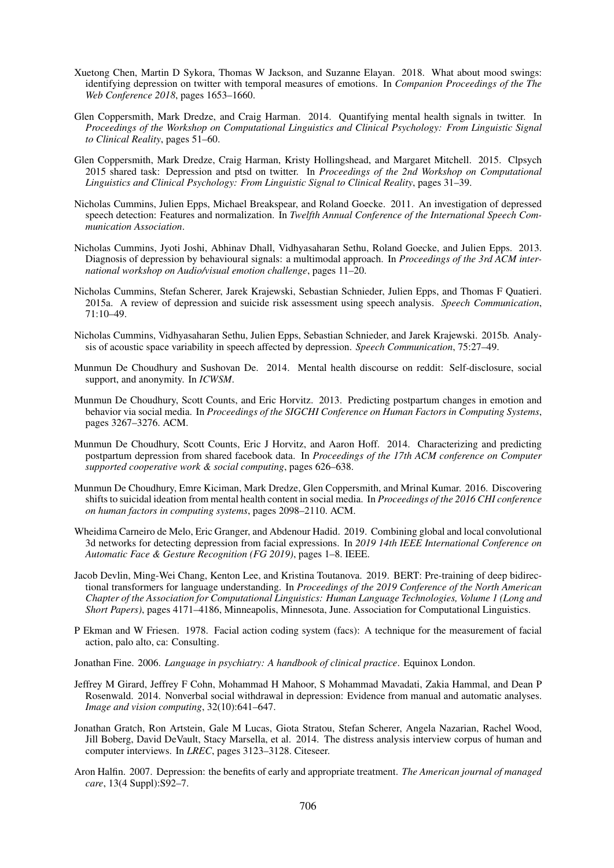- Xuetong Chen, Martin D Sykora, Thomas W Jackson, and Suzanne Elayan. 2018. What about mood swings: identifying depression on twitter with temporal measures of emotions. In *Companion Proceedings of the The Web Conference 2018*, pages 1653–1660.
- Glen Coppersmith, Mark Dredze, and Craig Harman. 2014. Quantifying mental health signals in twitter. In *Proceedings of the Workshop on Computational Linguistics and Clinical Psychology: From Linguistic Signal to Clinical Reality*, pages 51–60.
- Glen Coppersmith, Mark Dredze, Craig Harman, Kristy Hollingshead, and Margaret Mitchell. 2015. Clpsych 2015 shared task: Depression and ptsd on twitter. In *Proceedings of the 2nd Workshop on Computational Linguistics and Clinical Psychology: From Linguistic Signal to Clinical Reality*, pages 31–39.
- Nicholas Cummins, Julien Epps, Michael Breakspear, and Roland Goecke. 2011. An investigation of depressed speech detection: Features and normalization. In *Twelfth Annual Conference of the International Speech Communication Association*.
- Nicholas Cummins, Jyoti Joshi, Abhinav Dhall, Vidhyasaharan Sethu, Roland Goecke, and Julien Epps. 2013. Diagnosis of depression by behavioural signals: a multimodal approach. In *Proceedings of the 3rd ACM international workshop on Audio/visual emotion challenge*, pages 11–20.
- Nicholas Cummins, Stefan Scherer, Jarek Krajewski, Sebastian Schnieder, Julien Epps, and Thomas F Quatieri. 2015a. A review of depression and suicide risk assessment using speech analysis. *Speech Communication*, 71:10–49.
- Nicholas Cummins, Vidhyasaharan Sethu, Julien Epps, Sebastian Schnieder, and Jarek Krajewski. 2015b. Analysis of acoustic space variability in speech affected by depression. *Speech Communication*, 75:27–49.
- Munmun De Choudhury and Sushovan De. 2014. Mental health discourse on reddit: Self-disclosure, social support, and anonymity. In *ICWSM*.
- Munmun De Choudhury, Scott Counts, and Eric Horvitz. 2013. Predicting postpartum changes in emotion and behavior via social media. In *Proceedings of the SIGCHI Conference on Human Factors in Computing Systems*, pages 3267–3276. ACM.
- Munmun De Choudhury, Scott Counts, Eric J Horvitz, and Aaron Hoff. 2014. Characterizing and predicting postpartum depression from shared facebook data. In *Proceedings of the 17th ACM conference on Computer supported cooperative work & social computing*, pages 626–638.
- Munmun De Choudhury, Emre Kiciman, Mark Dredze, Glen Coppersmith, and Mrinal Kumar. 2016. Discovering shifts to suicidal ideation from mental health content in social media. In *Proceedings of the 2016 CHI conference on human factors in computing systems*, pages 2098–2110. ACM.
- Wheidima Carneiro de Melo, Eric Granger, and Abdenour Hadid. 2019. Combining global and local convolutional 3d networks for detecting depression from facial expressions. In *2019 14th IEEE International Conference on Automatic Face & Gesture Recognition (FG 2019)*, pages 1–8. IEEE.
- Jacob Devlin, Ming-Wei Chang, Kenton Lee, and Kristina Toutanova. 2019. BERT: Pre-training of deep bidirectional transformers for language understanding. In *Proceedings of the 2019 Conference of the North American Chapter of the Association for Computational Linguistics: Human Language Technologies, Volume 1 (Long and Short Papers)*, pages 4171–4186, Minneapolis, Minnesota, June. Association for Computational Linguistics.
- P Ekman and W Friesen. 1978. Facial action coding system (facs): A technique for the measurement of facial action, palo alto, ca: Consulting.
- Jonathan Fine. 2006. *Language in psychiatry: A handbook of clinical practice*. Equinox London.
- Jeffrey M Girard, Jeffrey F Cohn, Mohammad H Mahoor, S Mohammad Mavadati, Zakia Hammal, and Dean P Rosenwald. 2014. Nonverbal social withdrawal in depression: Evidence from manual and automatic analyses. *Image and vision computing*, 32(10):641–647.
- Jonathan Gratch, Ron Artstein, Gale M Lucas, Giota Stratou, Stefan Scherer, Angela Nazarian, Rachel Wood, Jill Boberg, David DeVault, Stacy Marsella, et al. 2014. The distress analysis interview corpus of human and computer interviews. In *LREC*, pages 3123–3128. Citeseer.
- Aron Halfin. 2007. Depression: the benefits of early and appropriate treatment. *The American journal of managed care*, 13(4 Suppl):S92–7.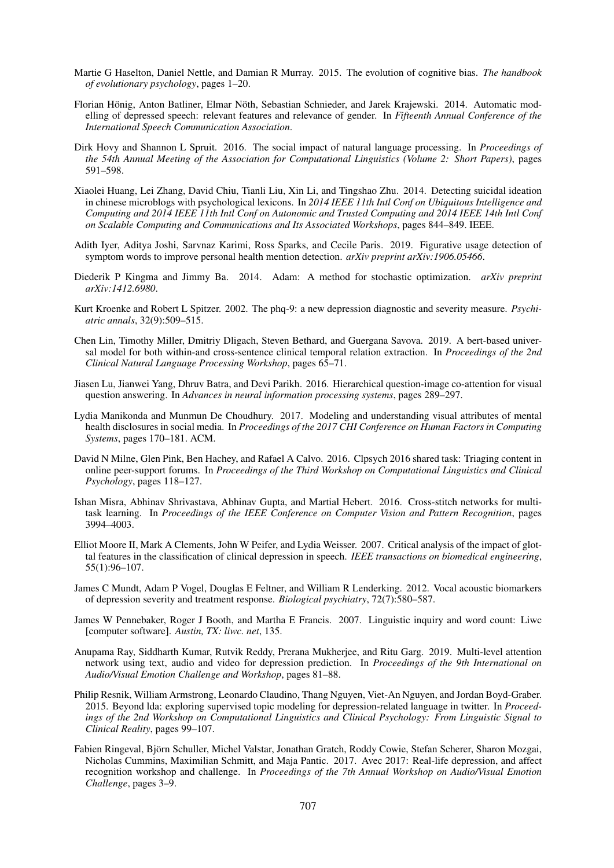- Martie G Haselton, Daniel Nettle, and Damian R Murray. 2015. The evolution of cognitive bias. *The handbook of evolutionary psychology*, pages 1–20.
- Florian Hönig, Anton Batliner, Elmar Nöth, Sebastian Schnieder, and Jarek Krajewski. 2014. Automatic modelling of depressed speech: relevant features and relevance of gender. In *Fifteenth Annual Conference of the International Speech Communication Association*.
- Dirk Hovy and Shannon L Spruit. 2016. The social impact of natural language processing. In *Proceedings of the 54th Annual Meeting of the Association for Computational Linguistics (Volume 2: Short Papers)*, pages 591–598.
- Xiaolei Huang, Lei Zhang, David Chiu, Tianli Liu, Xin Li, and Tingshao Zhu. 2014. Detecting suicidal ideation in chinese microblogs with psychological lexicons. In *2014 IEEE 11th Intl Conf on Ubiquitous Intelligence and Computing and 2014 IEEE 11th Intl Conf on Autonomic and Trusted Computing and 2014 IEEE 14th Intl Conf on Scalable Computing and Communications and Its Associated Workshops*, pages 844–849. IEEE.
- Adith Iyer, Aditya Joshi, Sarvnaz Karimi, Ross Sparks, and Cecile Paris. 2019. Figurative usage detection of symptom words to improve personal health mention detection. *arXiv preprint arXiv:1906.05466*.
- Diederik P Kingma and Jimmy Ba. 2014. Adam: A method for stochastic optimization. *arXiv preprint arXiv:1412.6980*.
- Kurt Kroenke and Robert L Spitzer. 2002. The phq-9: a new depression diagnostic and severity measure. *Psychiatric annals*, 32(9):509–515.
- Chen Lin, Timothy Miller, Dmitriy Dligach, Steven Bethard, and Guergana Savova. 2019. A bert-based universal model for both within-and cross-sentence clinical temporal relation extraction. In *Proceedings of the 2nd Clinical Natural Language Processing Workshop*, pages 65–71.
- Jiasen Lu, Jianwei Yang, Dhruv Batra, and Devi Parikh. 2016. Hierarchical question-image co-attention for visual question answering. In *Advances in neural information processing systems*, pages 289–297.
- Lydia Manikonda and Munmun De Choudhury. 2017. Modeling and understanding visual attributes of mental health disclosures in social media. In *Proceedings of the 2017 CHI Conference on Human Factors in Computing Systems*, pages 170–181. ACM.
- David N Milne, Glen Pink, Ben Hachey, and Rafael A Calvo. 2016. Clpsych 2016 shared task: Triaging content in online peer-support forums. In *Proceedings of the Third Workshop on Computational Linguistics and Clinical Psychology*, pages 118–127.
- Ishan Misra, Abhinav Shrivastava, Abhinav Gupta, and Martial Hebert. 2016. Cross-stitch networks for multitask learning. In *Proceedings of the IEEE Conference on Computer Vision and Pattern Recognition*, pages 3994–4003.
- Elliot Moore II, Mark A Clements, John W Peifer, and Lydia Weisser. 2007. Critical analysis of the impact of glottal features in the classification of clinical depression in speech. *IEEE transactions on biomedical engineering*, 55(1):96–107.
- James C Mundt, Adam P Vogel, Douglas E Feltner, and William R Lenderking. 2012. Vocal acoustic biomarkers of depression severity and treatment response. *Biological psychiatry*, 72(7):580–587.
- James W Pennebaker, Roger J Booth, and Martha E Francis. 2007. Linguistic inquiry and word count: Liwc [computer software]. *Austin, TX: liwc. net*, 135.
- Anupama Ray, Siddharth Kumar, Rutvik Reddy, Prerana Mukherjee, and Ritu Garg. 2019. Multi-level attention network using text, audio and video for depression prediction. In *Proceedings of the 9th International on Audio/Visual Emotion Challenge and Workshop*, pages 81–88.
- Philip Resnik, William Armstrong, Leonardo Claudino, Thang Nguyen, Viet-An Nguyen, and Jordan Boyd-Graber. 2015. Beyond lda: exploring supervised topic modeling for depression-related language in twitter. In *Proceedings of the 2nd Workshop on Computational Linguistics and Clinical Psychology: From Linguistic Signal to Clinical Reality*, pages 99–107.
- Fabien Ringeval, Bjorn Schuller, Michel Valstar, Jonathan Gratch, Roddy Cowie, Stefan Scherer, Sharon Mozgai, ¨ Nicholas Cummins, Maximilian Schmitt, and Maja Pantic. 2017. Avec 2017: Real-life depression, and affect recognition workshop and challenge. In *Proceedings of the 7th Annual Workshop on Audio/Visual Emotion Challenge*, pages 3–9.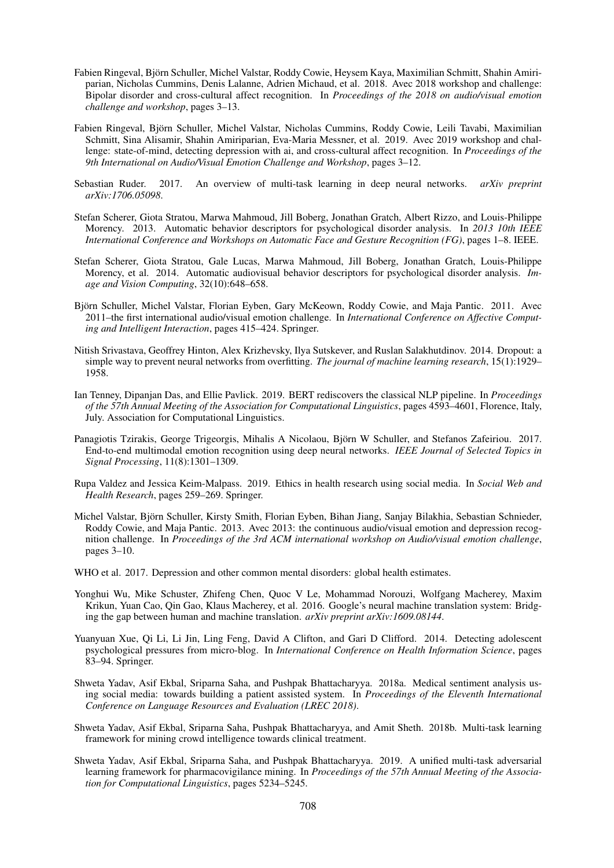- Fabien Ringeval, Bjorn Schuller, Michel Valstar, Roddy Cowie, Heysem Kaya, Maximilian Schmitt, Shahin Amiri- ¨ parian, Nicholas Cummins, Denis Lalanne, Adrien Michaud, et al. 2018. Avec 2018 workshop and challenge: Bipolar disorder and cross-cultural affect recognition. In *Proceedings of the 2018 on audio/visual emotion challenge and workshop*, pages 3–13.
- Fabien Ringeval, Bjorn Schuller, Michel Valstar, Nicholas Cummins, Roddy Cowie, Leili Tavabi, Maximilian ¨ Schmitt, Sina Alisamir, Shahin Amiriparian, Eva-Maria Messner, et al. 2019. Avec 2019 workshop and challenge: state-of-mind, detecting depression with ai, and cross-cultural affect recognition. In *Proceedings of the 9th International on Audio/Visual Emotion Challenge and Workshop*, pages 3–12.
- Sebastian Ruder. 2017. An overview of multi-task learning in deep neural networks. *arXiv preprint arXiv:1706.05098*.
- Stefan Scherer, Giota Stratou, Marwa Mahmoud, Jill Boberg, Jonathan Gratch, Albert Rizzo, and Louis-Philippe Morency. 2013. Automatic behavior descriptors for psychological disorder analysis. In *2013 10th IEEE International Conference and Workshops on Automatic Face and Gesture Recognition (FG)*, pages 1–8. IEEE.
- Stefan Scherer, Giota Stratou, Gale Lucas, Marwa Mahmoud, Jill Boberg, Jonathan Gratch, Louis-Philippe Morency, et al. 2014. Automatic audiovisual behavior descriptors for psychological disorder analysis. *Image and Vision Computing*, 32(10):648–658.
- Bjorn Schuller, Michel Valstar, Florian Eyben, Gary McKeown, Roddy Cowie, and Maja Pantic. 2011. Avec ¨ 2011–the first international audio/visual emotion challenge. In *International Conference on Affective Computing and Intelligent Interaction*, pages 415–424. Springer.
- Nitish Srivastava, Geoffrey Hinton, Alex Krizhevsky, Ilya Sutskever, and Ruslan Salakhutdinov. 2014. Dropout: a simple way to prevent neural networks from overfitting. *The journal of machine learning research*, 15(1):1929– 1958.
- Ian Tenney, Dipanjan Das, and Ellie Pavlick. 2019. BERT rediscovers the classical NLP pipeline. In *Proceedings of the 57th Annual Meeting of the Association for Computational Linguistics*, pages 4593–4601, Florence, Italy, July. Association for Computational Linguistics.
- Panagiotis Tzirakis, George Trigeorgis, Mihalis A Nicolaou, Bjorn W Schuller, and Stefanos Zafeiriou. 2017. ¨ End-to-end multimodal emotion recognition using deep neural networks. *IEEE Journal of Selected Topics in Signal Processing*, 11(8):1301–1309.
- Rupa Valdez and Jessica Keim-Malpass. 2019. Ethics in health research using social media. In *Social Web and Health Research*, pages 259–269. Springer.
- Michel Valstar, Bjorn Schuller, Kirsty Smith, Florian Eyben, Bihan Jiang, Sanjay Bilakhia, Sebastian Schnieder, ¨ Roddy Cowie, and Maja Pantic. 2013. Avec 2013: the continuous audio/visual emotion and depression recognition challenge. In *Proceedings of the 3rd ACM international workshop on Audio/visual emotion challenge*, pages 3–10.
- WHO et al. 2017. Depression and other common mental disorders: global health estimates.
- Yonghui Wu, Mike Schuster, Zhifeng Chen, Quoc V Le, Mohammad Norouzi, Wolfgang Macherey, Maxim Krikun, Yuan Cao, Qin Gao, Klaus Macherey, et al. 2016. Google's neural machine translation system: Bridging the gap between human and machine translation. *arXiv preprint arXiv:1609.08144*.
- Yuanyuan Xue, Qi Li, Li Jin, Ling Feng, David A Clifton, and Gari D Clifford. 2014. Detecting adolescent psychological pressures from micro-blog. In *International Conference on Health Information Science*, pages 83–94. Springer.
- Shweta Yadav, Asif Ekbal, Sriparna Saha, and Pushpak Bhattacharyya. 2018a. Medical sentiment analysis using social media: towards building a patient assisted system. In *Proceedings of the Eleventh International Conference on Language Resources and Evaluation (LREC 2018)*.
- Shweta Yadav, Asif Ekbal, Sriparna Saha, Pushpak Bhattacharyya, and Amit Sheth. 2018b. Multi-task learning framework for mining crowd intelligence towards clinical treatment.
- Shweta Yadav, Asif Ekbal, Sriparna Saha, and Pushpak Bhattacharyya. 2019. A unified multi-task adversarial learning framework for pharmacovigilance mining. In *Proceedings of the 57th Annual Meeting of the Association for Computational Linguistics*, pages 5234–5245.